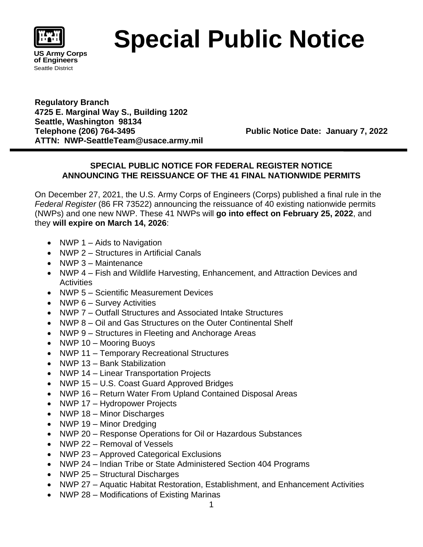

## **Special Public Notice**

**Regulatory Branch 4725 E. Marginal Way S., Building 1202 Seattle, Washington 98134 Telephone (206) 764-3495 Public Notice Date: January 7, 2022 ATTN: NWP-SeattleTeam@usace.army.mil**

## **SPECIAL PUBLIC NOTICE FOR FEDERAL REGISTER NOTICE ANNOUNCING THE REISSUANCE OF THE 41 FINAL NATIONWIDE PERMITS**

On December 27, 2021, the U.S. Army Corps of Engineers (Corps) published a final rule in the *Federal Register* (86 FR 73522) announcing the reissuance of 40 existing nationwide permits (NWPs) and one new NWP. These 41 NWPs will **go into effect on February 25, 2022**, and they **will expire on March 14, 2026**:

- NWP  $1 -$  Aids to Navigation
- NWP 2 Structures in Artificial Canals
- NWP 3 Maintenance
- NWP 4 Fish and Wildlife Harvesting, Enhancement, and Attraction Devices and **Activities**
- NWP 5 Scientific Measurement Devices
- NWP 6 Survey Activities
- NWP 7 Outfall Structures and Associated Intake Structures
- NWP 8 Oil and Gas Structures on the Outer Continental Shelf
- NWP 9 Structures in Fleeting and Anchorage Areas
- NWP 10 Mooring Buoys
- NWP 11 Temporary Recreational Structures
- NWP 13 Bank Stabilization
- NWP 14 Linear Transportation Projects
- NWP 15 U.S. Coast Guard Approved Bridges
- NWP 16 Return Water From Upland Contained Disposal Areas
- NWP 17 Hydropower Projects
- NWP 18 Minor Discharges
- NWP 19 Minor Dredging
- NWP 20 Response Operations for Oil or Hazardous Substances
- NWP 22 Removal of Vessels
- NWP 23 Approved Categorical Exclusions
- NWP 24 Indian Tribe or State Administered Section 404 Programs
- NWP 25 Structural Discharges
- NWP 27 Aquatic Habitat Restoration, Establishment, and Enhancement Activities
- NWP 28 Modifications of Existing Marinas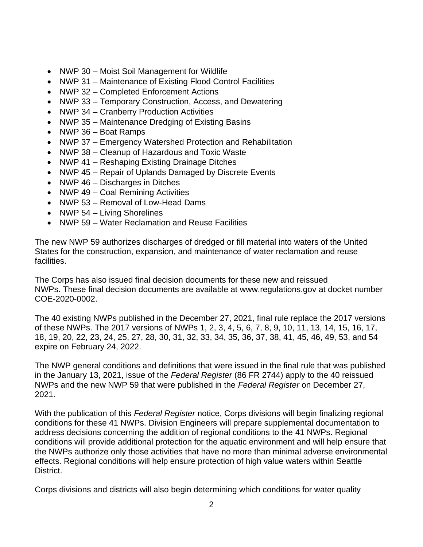- NWP 30 Moist Soil Management for Wildlife
- NWP 31 Maintenance of Existing Flood Control Facilities
- NWP 32 Completed Enforcement Actions
- NWP 33 Temporary Construction, Access, and Dewatering
- NWP 34 Cranberry Production Activities
- NWP 35 Maintenance Dredging of Existing Basins
- NWP 36 Boat Ramps
- NWP 37 Emergency Watershed Protection and Rehabilitation
- NWP 38 Cleanup of Hazardous and Toxic Waste
- NWP 41 Reshaping Existing Drainage Ditches
- NWP 45 Repair of Uplands Damaged by Discrete Events
- NWP 46 Discharges in Ditches
- NWP 49 Coal Remining Activities
- NWP 53 Removal of Low-Head Dams
- NWP 54 Living Shorelines
- NWP 59 Water Reclamation and Reuse Facilities

The new NWP 59 authorizes discharges of dredged or fill material into waters of the United States for the construction, expansion, and maintenance of water reclamation and reuse facilities.

The Corps has also issued final decision documents for these new and reissued NWPs. These final decision documents are available at www.regulations.gov at docket number COE-2020-0002.

The 40 existing NWPs published in the December 27, 2021, final rule replace the 2017 versions of these NWPs. The 2017 versions of NWPs 1, 2, 3, 4, 5, 6, 7, 8, 9, 10, 11, 13, 14, 15, 16, 17, 18, 19, 20, 22, 23, 24, 25, 27, 28, 30, 31, 32, 33, 34, 35, 36, 37, 38, 41, 45, 46, 49, 53, and 54 expire on February 24, 2022.

The NWP general conditions and definitions that were issued in the final rule that was published in the January 13, 2021, issue of the *Federal Register* (86 FR 2744) apply to the 40 reissued NWPs and the new NWP 59 that were published in the *Federal Register* on December 27, 2021.

With the publication of this *Federal Register* notice, Corps divisions will begin finalizing regional conditions for these 41 NWPs. Division Engineers will prepare supplemental documentation to address decisions concerning the addition of regional conditions to the 41 NWPs. Regional conditions will provide additional protection for the aquatic environment and will help ensure that the NWPs authorize only those activities that have no more than minimal adverse environmental effects. Regional conditions will help ensure protection of high value waters within Seattle District.

Corps divisions and districts will also begin determining which conditions for water quality